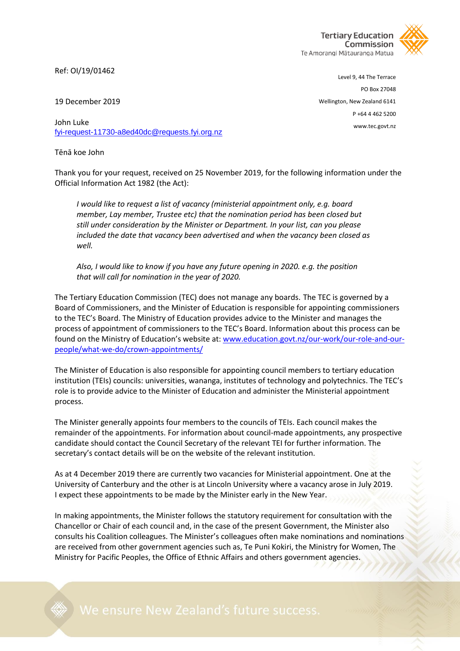**Tertiary Education** Commission Te Amorangi Mātauranga Matua

Ref: OI/19/01462

Level 9, 44 The Terrace PO Box 27048 Wellington, New Zealand 6141 P +64 4 462 5200 www.tec.govt.nz

19 December 2019

John Luke [fyi-request-11730-a8ed40dc@requests.fyi.org.nz](mailto:xxxxxxxxxxxxxxxxxxxxxxxxxx@xxxxxxxx.xxx.xxx.xx)

Tēnā koe John

Thank you for your request, received on 25 November 2019, for the following information under the Official Information Act 1982 (the Act):

*I would like to request a list of vacancy (ministerial appointment only, e.g. board member, Lay member, Trustee etc) that the nomination period has been closed but still under consideration by the Minister or Department. In your list, can you please included the date that vacancy been advertised and when the vacancy been closed as well.* 

*Also, I would like to know if you have any future opening in 2020. e.g. the position that will call for nomination in the year of 2020.*

The Tertiary Education Commission (TEC) does not manage any boards. The TEC is governed by a Board of Commissioners, and the Minister of Education is responsible for appointing commissioners to the TEC's Board. The Ministry of Education provides advice to the Minister and manages the process of appointment of commissioners to the TEC's Board. Information about this process can be found on the Ministry of Education's website at: [www.education.govt.nz/our-work/our-role-and-our](http://www.education.govt.nz/our-work/our-role-and-our-people/what-we-do/crown-appointments/)[people/what-we-do/crown-appointments/](http://www.education.govt.nz/our-work/our-role-and-our-people/what-we-do/crown-appointments/)

The Minister of Education is also responsible for appointing council members to tertiary education institution (TEIs) councils: universities, wananga, institutes of technology and polytechnics. The TEC's role is to provide advice to the Minister of Education and administer the Ministerial appointment process.

The Minister generally appoints four members to the councils of TEIs. Each council makes the remainder of the appointments. For information about council-made appointments, any prospective candidate should contact the Council Secretary of the relevant TEI for further information. The secretary's contact details will be on the website of the relevant institution.

As at 4 December 2019 there are currently two vacancies for Ministerial appointment. One at the University of Canterbury and the other is at Lincoln University where a vacancy arose in July 2019. I expect these appointments to be made by the Minister early in the New Year.

In making appointments, the Minister follows the statutory requirement for consultation with the Chancellor or Chair of each council and, in the case of the present Government, the Minister also consults his Coalition colleagues. The Minister's colleagues often make nominations and nominations are received from other government agencies such as, Te Puni Kokiri, the Ministry for Women, The Ministry for Pacific Peoples, the Office of Ethnic Affairs and others government agencies.